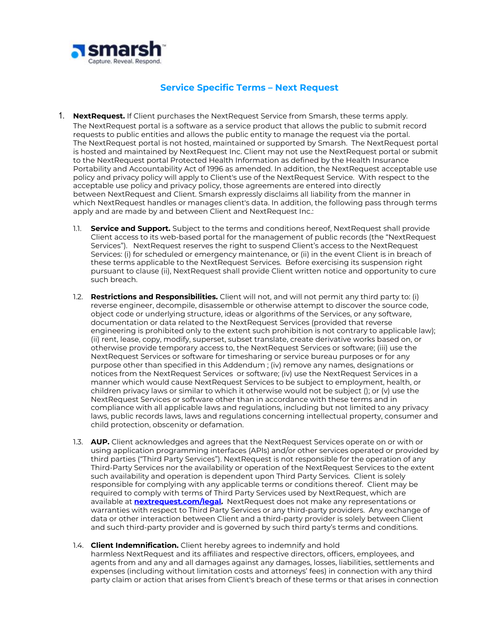

## **Service Specific Terms – Next Request**

- 1. **NextRequest.** If Client purchases the NextRequest Service from Smarsh, these terms apply. The NextRequest portal is a software as a service product that allows the public to submit record requests to public entities and allows the public entity to manage the request via the portal. The NextRequest portal is not hosted, maintained or supported by Smarsh. The NextRequest portal is hosted and maintained by NextRequest Inc. Client may not use the NextRequest portal or submit to the NextRequest portal Protected Health Information as defined by the Health Insurance Portability and Accountability Act of 1996 as amended. In addition, the NextRequest acceptable use policy and privacy policy will apply to Client's use of the NextRequest Service. With respect to the acceptable use policy and privacy policy, those agreements are entered into directly between NextRequest and Client. Smarsh expressly disclaims all liability from the manner in which NextRequest handles or manages client's data. In addition, the following pass through terms apply and are made by and between Client and NextRequest Inc.:
	- 1.1. **Service and Support.** Subject to the terms and conditions hereof, NextRequest shall provide Client access to its web-based portal for the management of public records (the "NextRequest Services"). NextRequest reserves the right to suspend Client's access to the NextRequest Services: (i) for scheduled or emergency maintenance, or (ii) in the event Client is in breach of these terms applicable to the NextRequest Services. Before exercising its suspension right pursuant to clause (ii), NextRequest shall provide Client written notice and opportunity to cure such breach.
	- 1.2. **Restrictions and Responsibilities.** Client will not, and will not permit any third party to: (i) reverse engineer, decompile, disassemble or otherwise attempt to discover the source code, object code or underlying structure, ideas or algorithms of the Services, or any software, documentation or data related to the NextRequest Services (provided that reverse engineering is prohibited only to the extent such prohibition is not contrary to applicable law); (ii) rent, lease, copy, modify, superset, subset translate, create derivative works based on, or otherwise provide temporary access to, the NextRequest Services or software; (iii) use the NextRequest Services or software for timesharing or service bureau purposes or for any purpose other than specified in this Addendum ; (iv) remove any names, designations or notices from the NextRequest Services or software; (iv) use the NextRequest Services in a manner which would cause NextRequest Services to be subject to employment, health, or children privacy laws or similar to which it otherwise would not be subject (); or (v) use the NextRequest Services or software other than in accordance with these terms and in compliance with all applicable laws and regulations, including but not limited to any privacy laws, public records laws, laws and regulations concerning intellectual property, consumer and child protection, obscenity or defamation.
	- 1.3. **AUP.** Client acknowledges and agrees that the NextRequest Services operate on or with or using application programming interfaces (APIs) and/or other services operated or provided by third parties ("Third Party Services"). NextRequest is not responsible for the operation of any Third-Party Services nor the availability or operation of the NextRequest Services to the extent such availability and operation is dependent upon Third Party Services. Client is solely responsible for complying with any applicable terms or conditions thereof. Client may be required to comply with terms of Third Party Services used by NextRequest, which are available at **[nextrequest.com/legal](http://nextrequest.com/legal).** NextRequest does not make any representations or warranties with respect to Third Party Services or any third-party providers. Any exchange of data or other interaction between Client and a third-party provider is solely between Client and such third-party provider and is governed by such third party's terms and conditions.
	- 1.4. **Client Indemnification.** Client hereby agrees to indemnify and hold harmless NextRequest and its affiliates and respective directors, officers, employees, and
		- agents from and any and all damages against any damages, losses, liabilities, settlements and expenses (including without limitation costs and attorneys' fees) in connection with any third party claim or action that arises from Client's breach of these terms or that arises in connection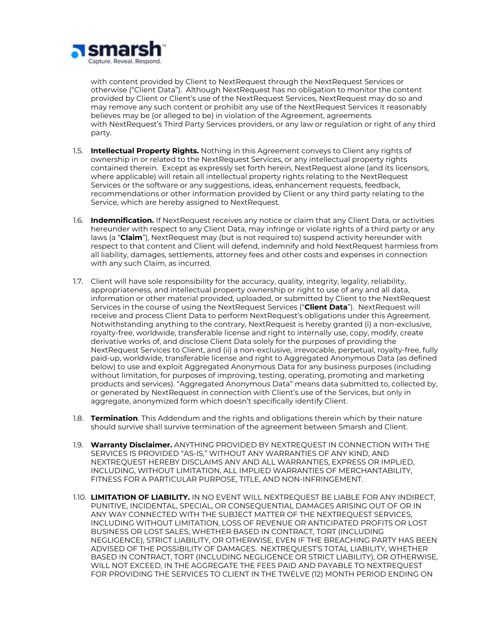

with content provided by Client to NextRequest through the NextRequest Services or otherwise ("Client Data"). Although NextRequest has no obligation to monitor the content provided by Client or Client's use of the NextRequest Services, NextRequest may do so and may remove any such content or prohibit any use of the NextRequest Services it reasonably believes may be (or alleged to be) in violation of the Agreement, agreements with NextRequest's Third Party Services providers, or any law or regulation or right of any third party.

- 1.5. **Intellectual Property Rights.** Nothing in this Agreement conveys to Client any rights of ownership in or related to the NextRequest Services, or any intellectual property rights contained therein. Except as expressly set forth herein, NextRequest alone (and its licensors, where applicable) will retain all intellectual property rights relating to the NextRequest Services or the software or any suggestions, ideas, enhancement requests, feedback, recommendations or other information provided by Client or any third party relating to the Service, which are hereby assigned to NextRequest.
- 1.6. **Indemnification.** If NextRequest receives any notice or claim that any Client Data, or activities hereunder with respect to any Client Data, may infringe or violate rights of a third party or any laws (a "**Claim**"), NextRequest may (but is not required to) suspend activity hereunder with respect to that content and Client will defend, indemnify and hold NextRequest harmless from all liability, damages, settlements, attorney fees and other costs and expenses in connection with any such Claim, as incurred.
- 1.7. Client will have sole responsibility for the accuracy, quality, integrity, legality, reliability, appropriateness, and intellectual property ownership or right to use of any and all data, information or other material provided, uploaded, or submitted by Client to the NextRequest Services in the course of using the NextRequest Services ("**Client Data**"). NextRequest will receive and process Client Data to perform NextRequest's obligations under this Agreement. Notwithstanding anything to the contrary, NextRequest is hereby granted (i) a non-exclusive, royalty-free, worldwide, transferable license and right to internally use, copy, modify, create derivative works of, and disclose Client Data solely for the purposes of providing the NextRequest Services to Client, and (ii) a non-exclusive, irrevocable, perpetual, royalty-free, fully paid-up, worldwide, transferable license and right to Aggregated Anonymous Data (as defined below) to use and exploit Aggregated Anonymous Data for any business purposes (including without limitation, for purposes of improving, testing, operating, promoting and marketing products and services). "Aggregated Anonymous Data" means data submitted to, collected by, or generated by NextRequest in connection with Client's use of the Services, but only in aggregate, anonymized form which doesn't specifically identify Client.
- 1.8. **Termination**. This Addendum and the rights and obligations therein which by their nature should survive shall survive termination of the agreement between Smarsh and Client.
- 1.9. **Warranty Disclaimer.** ANYTHING PROVIDED BY NEXTREQUEST IN CONNECTION WITH THE SERVICES IS PROVIDED "AS-IS," WITHOUT ANY WARRANTIES OF ANY KIND, AND NEXTREQUEST HEREBY DISCLAIMS ANY AND ALL WARRANTIES, EXPRESS OR IMPLIED, INCLUDING, WITHOUT LIMITATION, ALL IMPLIED WARRANTIES OF MERCHANTABILITY, FITNESS FOR A PARTICULAR PURPOSE, TITLE, AND NON-INFRINGEMENT.
- 1.10. **LIMITATION OF LIABILITY.** IN NO EVENT WILL NEXTREQUEST BE LIABLE FOR ANY INDIRECT, PUNITIVE, INCIDENTAL, SPECIAL, OR CONSEQUENTIAL DAMAGES ARISING OUT OF OR IN ANY WAY CONNECTED WITH THE SUBJECT MATTER OF THE NEXTREQUEST SERVICES, INCLUDING WITHOUT LIMITATION, LOSS OF REVENUE OR ANTICIPATED PROFITS OR LOST BUSINESS OR LOST SALES, WHETHER BASED IN CONTRACT, TORT (INCLUDING NEGLIGENCE), STRICT LIABILITY, OR OTHERWISE, EVEN IF THE BREACHING PARTY HAS BEEN ADVISED OF THE POSSIBILITY OF DAMAGES. NEXTREQUEST'S TOTAL LIABILITY, WHETHER BASED IN CONTRACT, TORT (INCLUDING NEGLIGENCE OR STRICT LIABILITY), OR OTHERWISE, WILL NOT EXCEED, IN THE AGGREGATE THE FEES PAID AND PAYABLE TO NEXTREQUEST FOR PROVIDING THE SERVICES TO CLIENT IN THE TWELVE (12) MONTH PERIOD ENDING ON